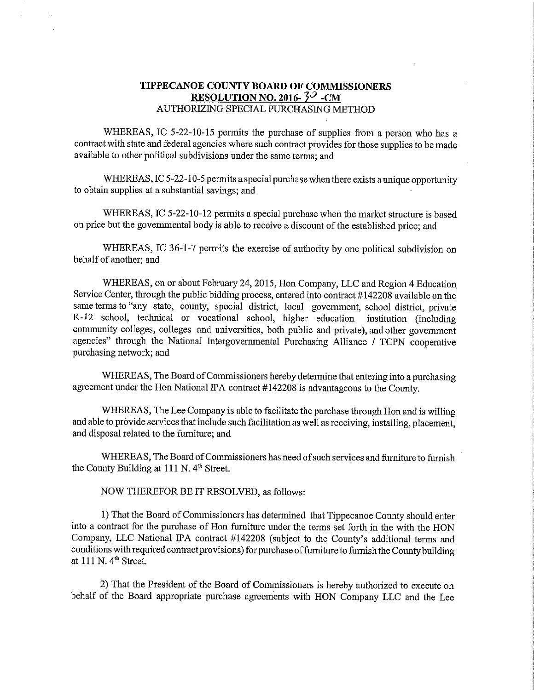## TIPPECANOE COUNTY BOARD OF COMMISSIONERS RESOLUTION NO. 2016- $3^{\circ}$  -CM AUTHORIZING SPECIAL PURCHASING METHOD

WHEREAS, IC 5-22-10-15 permits the purchase of supplies from a person who has a contract with state and federal agencies Where such contract provides for those supplies to be made available to other political subdivisions under the same terms; and

WHEREAS, IC 5-22-10-5 permits a special purchase when there exists a unique opportunity to obtain supplies at <sup>a</sup> substantial savings; and -

WHEREAS, IC 5-22-10-12 permits a special purchase when the market structure is based on price but the governmental body is able to receive <sup>a</sup> discount of the established price; and

WHEREAS, IC 36-1-7 permits the exercise of authority by one political subdivision on behalf of another; and

WHEREAS, on or about February 24,2015, Hon Company, LLC and Region <sup>4</sup> Education Service Center, through the public bidding process, entered into contract #142208 available on the same terms to "any state, county, special district, local government, school district, private K-12 school, technical or vocational school, higher education institution (including community colleges, colleges and universities, both public and private), and other government agencies" through the National Intergovernmental Purchasing Alliance / TCPN cooperative purchasing network; and

WHEREAS, The Board of Commissioners hereby determine that entering into a purchasing agreement under the Hon National IPA contract #142208 is advantageous to the County.

WHEREAS, The Lee Company is able to facilitate the purchase through Hon and is willing and able to previde services that include such facilitation as well as receiving, installing, placement, and disposal related to the furniture; and

WHEREAS, The Board of Commissioners has need of such services and furniture to furnish the County Building at 111 N.  $4<sup>th</sup>$  Street.

NOW THEREFOR BE IT RESOLVED, as follows:

1) That the Board of Commissioners has determined that Tippecanoe County should enter into <sup>a</sup> contract for the purchase of Hon furniture under the terms set forth in the with the HON Company, LLC National IPA contract #142208 (subject to the County's additional terms and conditions with required contract provisions) for purchase of furniture to furnish the County building at 111 N. 4'h Street.

2) That the President of the Board of Commissioners is hereby authorized to execute on behalf of the Board appropriate purchase agreements with HON Company LLC and the Lee